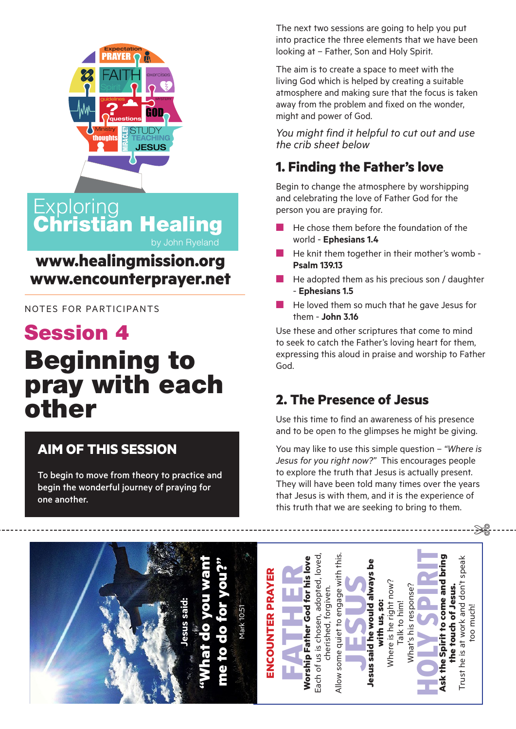

**Exploring** Christian Healing

## **www.healingmission.org www.encounterprayer.net**

NOTES FOR PARTICIPANTS

# Session 4 Beginning to pray with each other

#### **AIM OF THIS SESSION**

To begin to move from theory to practice and begin the wonderful journey of praying for one another.

The next two sessions are going to help you put into practice the three elements that we have been looking at – Father, Son and Holy Spirit.

The aim is to create a space to meet with the living God which is helped by creating a suitable atmosphere and making sure that the focus is taken away from the problem and fixed on the wonder, might and power of God.

*You might find it helpful to cut out and use the crib sheet below*

### **1. Finding the Father's love**

Begin to change the atmosphere by worshipping and celebrating the love of Father God for the person you are praying for.

- $\blacksquare$  He chose them before the foundation of the world - **Ephesians 1.4**
- $\blacksquare$  He knit them together in their mother's womb -**Psalm 139.13**
- $\blacksquare$  He adopted them as his precious son / daughter - **Ephesians 1.5**
- $\blacksquare$  He loved them so much that he gave Jesus for them - **John 3.16**

Use these and other scriptures that come to mind to seek to catch the Father's loving heart for them, expressing this aloud in praise and worship to Father God.

#### **2. The Presence of Jesus**

Use this time to find an awareness of his presence and to be open to the glimpses he might be giving.

You may like to use this simple question – *"Where is Jesus for you right now?"* This encourages people to explore the truth that Jesus is actually present. They will have been told many times over the years that Jesus is with them, and it is the experience of this truth that we are seeking to bring to them.